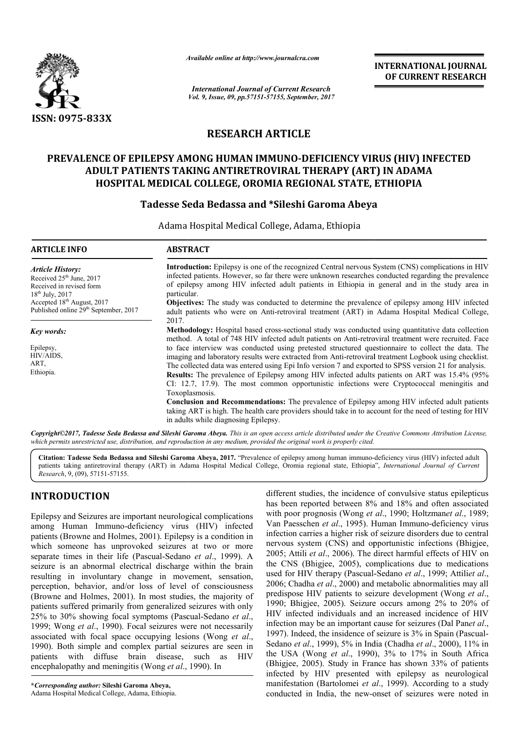

*Available online at http://www.journal http://www.journalcra.com*

*International Journal of Current Research Vol. 9, Issue, 09, pp.57151-57155, September, 2017* **INTERNATIONAL JOURNAL OF CURRENT RESEARCH** 

# **RESEARCH ARTICLE**

#### **PREVALENCE OF EPILEPSY AMONG HUMAN IMMUNO IMMUNO-DEFICIENCY VIRUS (HIV) INFECTED ADULT PATIENTS TAKING ANTIRETROVIRAL THERAPY (ART) IN ADAMA HOSPITAL MEDICAL COLLEGE, OROMIA REGIONAL STATE, ETHIOPIA** <sup>7</sup> AMONG HUMAN IMMUNO-DEFICIENCY VII<br>TAKING ANTIRETROVIRAL THERAPY (ART<br>ICAL COLLEGE, OROMIA REGIONAL STATE,

## **Tadesse Seda Bedassa and \*Sileshi Garoma Abeya**

Adama Hospital Medical College, Adama, Ethiopia

| <b>ARTICLE INFO</b>                                                                                              | <b>ABSTRACT</b>                                                                                                                                                                                                                                                                                                                                                                                                                                                                                                                                                                                                                                                                                                                                                                                |  |
|------------------------------------------------------------------------------------------------------------------|------------------------------------------------------------------------------------------------------------------------------------------------------------------------------------------------------------------------------------------------------------------------------------------------------------------------------------------------------------------------------------------------------------------------------------------------------------------------------------------------------------------------------------------------------------------------------------------------------------------------------------------------------------------------------------------------------------------------------------------------------------------------------------------------|--|
| <b>Article History:</b><br>Received 25 <sup>th</sup> June, 2017<br>Received in revised form<br>$18th$ July, 2017 | Introduction: Epilepsy is one of the recognized Central nervous System (CNS) complications in HIV<br>infected patients. However, so far there were unknown researches conducted regarding the prevalence<br>of epilepsy among HIV infected adult patients in Ethiopia in general and in the study area in<br>particular.                                                                                                                                                                                                                                                                                                                                                                                                                                                                       |  |
| Accepted 18 <sup>th</sup> August, 2017<br>Published online 29 <sup>th</sup> September, 2017                      | <b>Objectives:</b> The study was conducted to determine the prevalence of epilepsy among HIV infected<br>adult patients who were on Anti-retroviral treatment (ART) in Adama Hospital Medical College,<br>2017.                                                                                                                                                                                                                                                                                                                                                                                                                                                                                                                                                                                |  |
| Key words:                                                                                                       | Methodology: Hospital based cross-sectional study was conducted using quantitative data collection<br>method. A total of 748 HIV infected adult patients on Anti-retroviral treatment were recruited. Face                                                                                                                                                                                                                                                                                                                                                                                                                                                                                                                                                                                     |  |
| Epilepsy,<br>HIV/AIDS.<br>ART,<br>Ethiopia.                                                                      | to face interview was conducted using pretested structured questionnaire to collect the data. The<br>imaging and laboratory results were extracted from Anti-retroviral treatment Logbook using checklist.<br>The collected data was entered using Epi Info version 7 and exported to SPSS version 21 for analysis.<br><b>Results:</b> The prevalence of Epilepsy among HIV infected adults patients on ART was 15.4% (95%)<br>CI: 12.7, 17.9). The most common opportunistic infections were Cryptococcal meningitis and<br>Toxoplasmosis.<br>Conclusion and Recommendations: The prevalence of Epilepsy among HIV infected adult patients<br>taking ART is high. The health care providers should take in to account for the need of testing for HIV<br>in adults while diagnosing Epilepsy. |  |

*Copyright©2017, Tadesse Seda Bedassa and Sileshi Garoma Abeya Abeya. This is an open access article distributed under the Creative Commons Attribution License, which permits unrestricted use, distribution, and reproduction in any medi medium, provided the original work is properly cited. is um, provided the* 

**Citation: Tadesse Seda Bedassa and Sileshi Garoma Abeya Abeya, 2017.** "Prevalence of epilepsy among human immuno--deficiency virus (HIV) infected adult patients taking antiretroviral therapy (ART) in Adama Hospital Medical College, Oromia regional state, Ethiopia", *International Journal of Current Research*, 9, (09), 57151-57155.

# **INTRODUCTION**

Epilepsy and Seizures are important neurological complications among Human Immuno-deficiency virus (HIV) infected patients (Browne and Holmes, 2001). Epilepsy is a condition in which someone has unprovoked seizures at two or more among Human Immuno-deficiency virus (HIV) infected patients (Browne and Holmes, 2001). Epilepsy is a condition in which someone has unprovoked seizures at two or more separate times in their life (Pascual-Sedano *et al.*, seizure is an abnormal electrical discharge within the brain resulting in involuntary change in movement, sensation, perception, behavior, and/or loss of level of consciousness (Browne and Holmes, 2001). In most studies, the majority of patients suffered primarily from generalized seizures with only 25% to 30% showing focal symptoms (Pascual-Sedano et al., 1999; Wong *et al*., 1990). Focal seizures were not necessarily 1999; Wong *et al.*, 1990). Focal seizures were not necessarily associated with focal space occupying lesions (Wong *et al.*, 1990). Both simple and complex partial seizures are seen in patients with diffuse brain disease, such as HIV encephalopathy and meningitis (Wong *et al*., 1990). In ). In most studies, the majority of<br>rom generalized seizures with only<br>symptoms (Pascual-Sedano *et al.*,

different studies, the incidence of convulsive status epilepticus has been reported between 8% and 18% and often associated has been reported between 8% and 18% and often associated with poor prognosis (Wong *et al.*, 1990; Holtzman*et al.*, 1989; Van Paesschen et al., 1995). Human Immuno-deficiency virus infection carries a higher risk of seizure disorders due to central nervous system (CNS) and opportunistic infections (Bhigjee, 2005; Attili *et al*., 2006). The direct harmful effects of HIV on the CNS (Bhigjee, 2005), complications due to medications the CNS (Bhigjee, 2005), complications due to medications used for HIV therapy (Pascual-Sedano *et al.*, 1999; Attiliet al., 2006; Chadha *et al*., 2000) and metabolic abnormalities may all 2006; Chadha *et al.*, 2000) and metabolic abnormalities may all predispose HIV patients to seizure development (Wong *et al.*, 1990; Bhigjee, 2005). Seizure occurs among 2% to 20% of HIV infected individuals and an increased incidence of HIV 1990; Bhigjee, 2005). Seizure occurs among 2% to 20% of HIV infected individuals and an increased incidence of HIV infection may be an important cause for seizures (Dal Panet al., 1997). Indeed, the insidence of seizure is 3% in Spain (Pascual-Sedano *et al*., 1999), 5% in India (Chadha *et al*., 2000), 11% in the USA (Wong *et al*., 1990), 3% to 17% in South Africa (Bhigjee, 2005). Study in France has shown 33% of patients the USA (Wong *et al.*, 1990), 3% to 17% in South Africa (Bhigjee, 2005). Study in France has shown 33% of patients infected by HIV presented with epilepsy as neurological manifestation (Bartolomei et al., 1999). According to a study conducted in India, the new-onset of seizures were noted in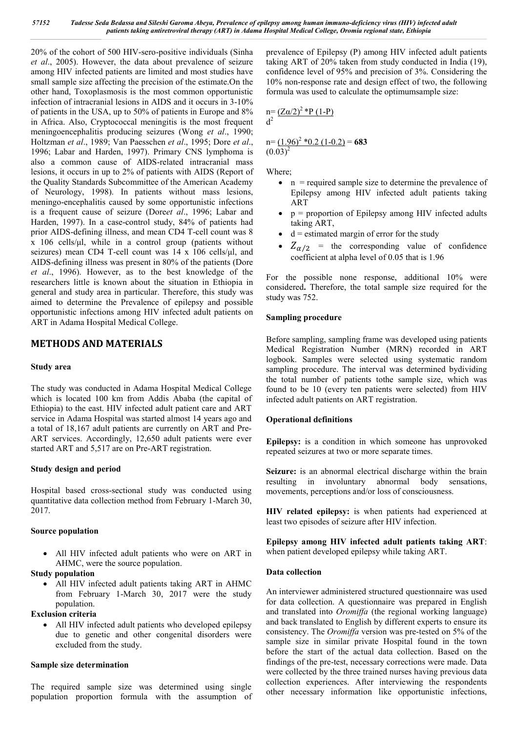20% of the cohort of 500 HIV-sero-positive individuals (Sinha *et al*., 2005). However, the data about prevalence of seizure among HIV infected patients are limited and most studies have small sample size affecting the precision of the estimate.On the other hand, Toxoplasmosis is the most common opportunistic infection of intracranial lesions in AIDS and it occurs in 3-10% of patients in the USA, up to 50% of patients in Europe and 8% in Africa. Also, Cryptococcal meningitis is the most frequent meningoencephalitis producing seizures (Wong *et al*., 1990; Holtzman *et al*., 1989; Van Paesschen *et al*., 1995; Dore *et al*., 1996; Labar and Harden, 1997). Primary CNS lymphoma is also a common cause of AIDS-related intracranial mass lesions, it occurs in up to 2% of patients with AIDS (Report of the Quality Standards Subcommittee of the American Academy of Neurology, 1998). In patients without mass lesions, meningo-encephalitis caused by some opportunistic infections is a frequent cause of seizure (Dore*et al*., 1996; Labar and Harden, 1997). In a case-control study, 84% of patients had prior AIDS-defining illness, and mean CD4 T-cell count was 8 x 106 cells/μl, while in a control group (patients without seizures) mean CD4 T-cell count was 14 x 106 cells/μl, and AIDS-defining illness was present in 80% of the patients (Dore *et al*., 1996). However, as to the best knowledge of the researchers little is known about the situation in Ethiopia in general and study area in particular. Therefore, this study was aimed to determine the Prevalence of epilepsy and possible opportunistic infections among HIV infected adult patients on ART in Adama Hospital Medical College.

## **METHODS AND MATERIALS**

## **Study area**

The study was conducted in Adama Hospital Medical College which is located 100 km from Addis Ababa (the capital of Ethiopia) to the east. HIV infected adult patient care and ART service in Adama Hospital was started almost 14 years ago and a total of 18,167 adult patients are currently on ART and Pre-ART services. Accordingly, 12,650 adult patients were ever started ART and 5,517 are on Pre-ART registration.

## **Study design and period**

Hospital based cross-sectional study was conducted using quantitative data collection method from February 1-March 30, 2017.

## **Source population**

 All HIV infected adult patients who were on ART in AHMC, were the source population.

## **Study population**

- All HIV infected adult patients taking ART in AHMC from February 1-March 30, 2017 were the study population.
- **Exclusion criteria**
	- All HIV infected adult patients who developed epilepsy due to genetic and other congenital disorders were excluded from the study.

## **Sample size determination**

The required sample size was determined using single population proportion formula with the assumption of prevalence of Epilepsy (P) among HIV infected adult patients taking ART of 20% taken from study conducted in India (19), confidence level of 95% and precision of 3%. Considering the 10% non-response rate and design effect of two, the following formula was used to calculate the optimumsample size:

$$
n = \frac{(Z\alpha/2)^2 * P (1-P)}{d^2}
$$

 $n = (1.96)^{2}$  \*0.2 (1-0.2) = 683  $(0.03)^2$ 

Where;

- n = required sample size to determine the prevalence of Epilepsy among HIV infected adult patients taking ART
- $\bullet$   $p =$  proportion of Epilepsy among HIV infected adults taking ART,
- $\bullet$  d = estimated margin of error for the study
- $Z_{\alpha/2}$  = the corresponding value of confidence coefficient at alpha level of 0.05 that is 1.96

For the possible none response, additional 10% were considered**.** Therefore, the total sample size required for the study was 752.

## **Sampling procedure**

Before sampling, sampling frame was developed using patients Medical Registration Number (MRN) recorded in ART logbook. Samples were selected using systematic random sampling procedure. The interval was determined bydividing the total number of patients tothe sample size, which was found to be 10 (every ten patients were selected) from HIV infected adult patients on ART registration.

## **Operational definitions**

**Epilepsy:** is a condition in which someone has unprovoked repeated seizures at two or more separate times.

**Seizure:** is an abnormal electrical discharge within the brain resulting in involuntary abnormal body sensations, movements, perceptions and/or loss of consciousness.

**HIV related epilepsy:** is when patients had experienced at least two episodes of seizure after HIV infection.

**Epilepsy among HIV infected adult patients taking ART**: when patient developed epilepsy while taking ART.

## **Data collection**

An interviewer administered structured questionnaire was used for data collection. A questionnaire was prepared in English and translated into *Oromiffa* (the regional working language) and back translated to English by different experts to ensure its consistency. The *Oromiffa* version was pre-tested on 5% of the sample size in similar private Hospital found in the town before the start of the actual data collection. Based on the findings of the pre-test, necessary corrections were made. Data were collected by the three trained nurses having previous data collection experiences. After interviewing the respondents other necessary information like opportunistic infections,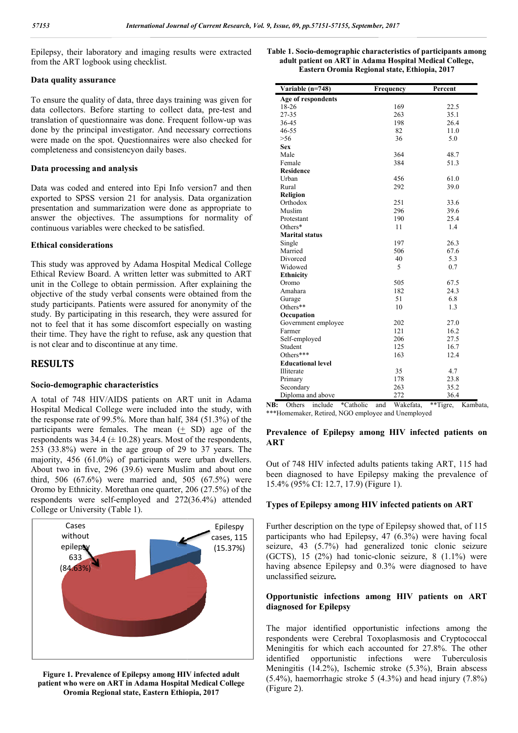Epilepsy, their laboratory and imaging results were extracted from the ART logbook using checklist.

#### **Data quality assurance**

To ensure the quality of data, three days training was given for data collectors. Before starting to collect data, pre-test and translation of questionnaire was done. Frequent follow-up was done by the principal investigator. And necessary corrections were made on the spot. Questionnaires were also checked for completeness and consistencyon daily bases.

#### **Data processing and analysis**

Data was coded and entered into Epi Info version7 and then exported to SPSS version 21 for analysis. Data organization presentation and summarization were done as appropriate to answer the objectives. The assumptions for normality of continuous variables were checked to be satisfied.

## **Ethical considerations**

This study was approved by Adama Hospital Medical College Ethical Review Board. A written letter was submitted to ART unit in the College to obtain permission. After explaining the objective of the study verbal consents were obtained from the study participants. Patients were assured for anonymity of the study. By participating in this research, they were assured for not to feel that it has some discomfort especially on wasting their time. They have the right to refuse, ask any question that is not clear and to discontinue at any time. beteness and consistencyon daily bases.<br> **processing and analysis**<br>
was coded and entered into Epi Info version7 and then<br>
tred to SPSS version 21 for analysis. Data organization<br>
tratation and summarization were done as a

#### **RESULTS**

#### **Socio-demographic characteristics**

A total of 748 HIV/AIDS patients on ART unit in Adama Hospital Medical College were included into the study, with the response rate of 99.5%. More than half, 384 (51.3%) of the participants were females. The mean  $(+)$  SD) age of the respondents was  $34.4 \left( \pm 10.28 \right)$  years. Most of the respondents, 253 (33.8%) were in the age group of 29 to 37 years. The majority, 456 (61.0%) of participants were urban dwellers. About two in five, 296 (39.6) were Muslim and about one third, 506 (67.6%) were married and, 505 (67.5%) were Oromo by Ethnicity. Morethan one quarter, 206 (27.5%) of the respondents were self-employed and  $272(36.4%)$  attended College or University (Table 1). = 10.28) years. Most of the respondents,<br>he age group of 29 to 37 years. The<br>of participants were urban dwellers.<br>6 (39.6) were Muslim and about one<br>ere married and, 505 (67.5%) were<br>orethan one quarter, 206 (27.5%) of th



**Figure 1. Prevalence of Epilepsy among HIV infected adult patient who were on ART in Adama Hospital Medical College Oromia Regional state, Eastern Ethiopia, 2017**

| Table 1. Socio-demographic characteristics of participants among |           |         |  |  |  |  |
|------------------------------------------------------------------|-----------|---------|--|--|--|--|
| adult patient on ART in Adama Hospital Medical College,          |           |         |  |  |  |  |
| Eastern Oromia Regional state, Ethiopia, 2017                    |           |         |  |  |  |  |
| Variable $(n=748)$                                               | Frequency | Percent |  |  |  |  |

| r laboratory and imaging results were extracted<br>logbook using checklist.                                                                                                                                                                                                                                                                                                                                                                                                                                                                  | Table 1. Socio-demographic characteristics of participants among<br>adult patient on ART in Adama Hospital Medical College,<br>Eastern Oromia Regional state, Ethiopia, 2017                                                                                                                                                                                                                                            |                  |                      |
|----------------------------------------------------------------------------------------------------------------------------------------------------------------------------------------------------------------------------------------------------------------------------------------------------------------------------------------------------------------------------------------------------------------------------------------------------------------------------------------------------------------------------------------------|-------------------------------------------------------------------------------------------------------------------------------------------------------------------------------------------------------------------------------------------------------------------------------------------------------------------------------------------------------------------------------------------------------------------------|------------------|----------------------|
| assurance                                                                                                                                                                                                                                                                                                                                                                                                                                                                                                                                    |                                                                                                                                                                                                                                                                                                                                                                                                                         |                  | Percent              |
|                                                                                                                                                                                                                                                                                                                                                                                                                                                                                                                                              | Variable (n=748)<br>Age of respondents                                                                                                                                                                                                                                                                                                                                                                                  | Frequency        |                      |
| quality of data, three days training was given for                                                                                                                                                                                                                                                                                                                                                                                                                                                                                           | 18-26                                                                                                                                                                                                                                                                                                                                                                                                                   | 169              | 22.5                 |
| s. Before starting to collect data, pre-test and                                                                                                                                                                                                                                                                                                                                                                                                                                                                                             | 27-35                                                                                                                                                                                                                                                                                                                                                                                                                   | 263              | 35.1                 |
| questionnaire was done. Frequent follow-up was                                                                                                                                                                                                                                                                                                                                                                                                                                                                                               | 36-45                                                                                                                                                                                                                                                                                                                                                                                                                   | 198              | 26.4                 |
| principal investigator. And necessary corrections                                                                                                                                                                                                                                                                                                                                                                                                                                                                                            | 46-55                                                                                                                                                                                                                                                                                                                                                                                                                   | 82               | 11.0                 |
| the spot. Questionnaires were also checked for                                                                                                                                                                                                                                                                                                                                                                                                                                                                                               | >56                                                                                                                                                                                                                                                                                                                                                                                                                     | 36               | 5.0                  |
| and consistencyon daily bases.                                                                                                                                                                                                                                                                                                                                                                                                                                                                                                               | Sex                                                                                                                                                                                                                                                                                                                                                                                                                     |                  |                      |
|                                                                                                                                                                                                                                                                                                                                                                                                                                                                                                                                              | Male                                                                                                                                                                                                                                                                                                                                                                                                                    | 364              | 48.7                 |
| ing and analysis                                                                                                                                                                                                                                                                                                                                                                                                                                                                                                                             | Female                                                                                                                                                                                                                                                                                                                                                                                                                  | 384              | 51.3                 |
|                                                                                                                                                                                                                                                                                                                                                                                                                                                                                                                                              | Residence                                                                                                                                                                                                                                                                                                                                                                                                               |                  |                      |
|                                                                                                                                                                                                                                                                                                                                                                                                                                                                                                                                              | Urban                                                                                                                                                                                                                                                                                                                                                                                                                   | 456<br>292       | 61.0<br>39.0         |
| ed and entered into Epi Info version7 and then                                                                                                                                                                                                                                                                                                                                                                                                                                                                                               | Rural<br>Religion                                                                                                                                                                                                                                                                                                                                                                                                       |                  |                      |
| PSS version 21 for analysis. Data organization                                                                                                                                                                                                                                                                                                                                                                                                                                                                                               | Orthodox                                                                                                                                                                                                                                                                                                                                                                                                                | 251              | 33.6                 |
| and summarization were done as appropriate to                                                                                                                                                                                                                                                                                                                                                                                                                                                                                                | Muslim                                                                                                                                                                                                                                                                                                                                                                                                                  | 296              | 39.6                 |
| objectives. The assumptions for normality of                                                                                                                                                                                                                                                                                                                                                                                                                                                                                                 | Protestant                                                                                                                                                                                                                                                                                                                                                                                                              | 190              | 25.4                 |
| riables were checked to be satisfied.                                                                                                                                                                                                                                                                                                                                                                                                                                                                                                        | Others*                                                                                                                                                                                                                                                                                                                                                                                                                 | 11               | 1.4                  |
|                                                                                                                                                                                                                                                                                                                                                                                                                                                                                                                                              | <b>Marital status</b>                                                                                                                                                                                                                                                                                                                                                                                                   |                  |                      |
| derations                                                                                                                                                                                                                                                                                                                                                                                                                                                                                                                                    | Single                                                                                                                                                                                                                                                                                                                                                                                                                  | 197              | 26.3                 |
|                                                                                                                                                                                                                                                                                                                                                                                                                                                                                                                                              | Married                                                                                                                                                                                                                                                                                                                                                                                                                 | 506              | 67.6                 |
|                                                                                                                                                                                                                                                                                                                                                                                                                                                                                                                                              | Divorced                                                                                                                                                                                                                                                                                                                                                                                                                | 40               | 5.3                  |
| is approved by Adama Hospital Medical College                                                                                                                                                                                                                                                                                                                                                                                                                                                                                                | Widowed                                                                                                                                                                                                                                                                                                                                                                                                                 | 5                | 0.7                  |
| w Board. A written letter was submitted to ART                                                                                                                                                                                                                                                                                                                                                                                                                                                                                               | <b>Ethnicity</b>                                                                                                                                                                                                                                                                                                                                                                                                        |                  |                      |
| ollege to obtain permission. After explaining the                                                                                                                                                                                                                                                                                                                                                                                                                                                                                            | Oromo                                                                                                                                                                                                                                                                                                                                                                                                                   | 505              | 67.5                 |
| he study verbal consents were obtained from the                                                                                                                                                                                                                                                                                                                                                                                                                                                                                              | Amahara                                                                                                                                                                                                                                                                                                                                                                                                                 | 182              | 24.3                 |
|                                                                                                                                                                                                                                                                                                                                                                                                                                                                                                                                              | Gurage                                                                                                                                                                                                                                                                                                                                                                                                                  | 51               | 6.8                  |
| ants. Patients were assured for anonymity of the                                                                                                                                                                                                                                                                                                                                                                                                                                                                                             | Others**                                                                                                                                                                                                                                                                                                                                                                                                                | 10               | 1.3                  |
| ticipating in this research, they were assured for                                                                                                                                                                                                                                                                                                                                                                                                                                                                                           | Occupation                                                                                                                                                                                                                                                                                                                                                                                                              |                  |                      |
| at it has some discomfort especially on wasting                                                                                                                                                                                                                                                                                                                                                                                                                                                                                              | Government employee                                                                                                                                                                                                                                                                                                                                                                                                     | 202              | 27.0                 |
| ey have the right to refuse, ask any question that                                                                                                                                                                                                                                                                                                                                                                                                                                                                                           | Farmer                                                                                                                                                                                                                                                                                                                                                                                                                  | 121              | 16.2                 |
| d to discontinue at any time.                                                                                                                                                                                                                                                                                                                                                                                                                                                                                                                | Self-employed                                                                                                                                                                                                                                                                                                                                                                                                           | 206              | 27.5                 |
|                                                                                                                                                                                                                                                                                                                                                                                                                                                                                                                                              | Student<br>Others***                                                                                                                                                                                                                                                                                                                                                                                                    | 125              | 16.7                 |
|                                                                                                                                                                                                                                                                                                                                                                                                                                                                                                                                              | <b>Educational level</b>                                                                                                                                                                                                                                                                                                                                                                                                | 163              | 12.4                 |
|                                                                                                                                                                                                                                                                                                                                                                                                                                                                                                                                              | Illiterate                                                                                                                                                                                                                                                                                                                                                                                                              | 35               | 4.7                  |
|                                                                                                                                                                                                                                                                                                                                                                                                                                                                                                                                              | Primary                                                                                                                                                                                                                                                                                                                                                                                                                 | 178              | 23.8                 |
| raphic characteristics                                                                                                                                                                                                                                                                                                                                                                                                                                                                                                                       | Secondary                                                                                                                                                                                                                                                                                                                                                                                                               | 263              | 35.2                 |
| 8 HIV/AIDS patients on ART unit in Adama                                                                                                                                                                                                                                                                                                                                                                                                                                                                                                     | Diploma and above                                                                                                                                                                                                                                                                                                                                                                                                       | 272              | 36.4                 |
| ical College were included into the study, with<br>ate of 99.5%. More than half, 384 (51.3%) of the<br>were females. The mean $( \pm SD)$ age of the<br>as $34.4 \ (\pm 10.28)$ years. Most of the respondents,<br>were in the age group of 29 to 37 years. The<br>$(61.0\%)$ of participants were urban dwellers.<br>five, 296 (39.6) were Muslim and about one<br>$(67.6%)$ were married and, 505 $(67.5%)$ were<br>inicity. Morethan one quarter, 206 (27.5%) of the<br>were self-employed and 272(36.4%) attended<br>iversity (Table 1). | NB: Others include<br>*Catholic<br>***Homemaker, Retired, NGO employee and Unemployed<br>Prevalence of Epilepsy among HIV infected patients on<br>ART<br>Out of 748 HIV infected adults patients taking ART, 115 had<br>been diagnosed to have Epilepsy making the prevalence of<br>15.4% (95% CI: 12.7, 17.9) (Figure 1).<br>Types of Epilepsy among HIV infected patients on ART                                      | and<br>Wakefata. | **Tigre,<br>Kambata  |
| эs<br>Epilespy<br>วนt<br>cases, 115<br>义<br>(15.37%)<br>3%)                                                                                                                                                                                                                                                                                                                                                                                                                                                                                  | Further description on the type of Epilepsy showed that, of 115<br>participants who had Epilepsy, 47 (6.3%) were having focal<br>seizure, 43 (5.7%) had generalized tonic clonic seizure<br>(GCTS), 15 (2%) had tonic-clonic seizure, 8 (1.1%) were<br>having absence Epilepsy and 0.3% were diagnosed to have<br>unclassified seizure.<br>Opportunistic infections among HIV patients on ART<br>diagnosed for Epilepsy |                  |                      |
| revalence of Epilepsy among HIV infected adult                                                                                                                                                                                                                                                                                                                                                                                                                                                                                               | The major identified opportunistic infections among the<br>respondents were Cerebral Toxoplasmosis and Cryptococcal<br>Meningitis for which each accounted for 27.8%. The other<br>identified<br>opportunistic<br>Meningitis (14.2%), Ischemic stroke (5.3%), Brain abscess<br>$(5.49)$ heamerhagic stroke $5. (4.29)$ and head injury $(7.99)$                                                                         | infections       | were<br>Tuberculosis |

#### Prevalence of Epilepsy among HIV infected patients on **ART**

#### **Types of Epilepsy among HIV infected patients on ART among HIV**

#### **Opportunistic infections among HIV patients on ART infections patients diagnosed for Epilepsy**

The major identified opportunistic infections among the respondents were Cerebral Toxoplasmosis and Cryptococcal Meningitis for which each accounted for 27.8%. The other identified opportunistic infections were were Tuberculosis Meningitis (14.2%), Ischemic stroke (5.3%), Brain abscess Meningitis (14.2%), Ischemic stroke  $(5.3\%)$ , Brain abscess  $(5.4\%)$ , haemorrhagic stroke  $5 (4.3\%)$  and head injury  $(7.8\%)$ (Figure 2).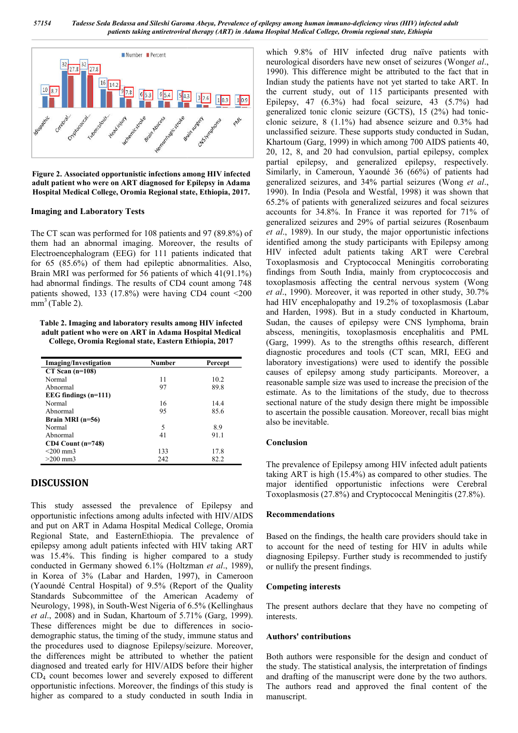57154 Tadesse Seda Bedassa and Sileshi Garoma Abeya, Prevalence of epilepsy among human immuno-deficiency virus (HIV) infected adult *patients taking antiretroviral therapy (ART) in Adama Hospital Medical College, Oromia regional state, Ethiopia*



**Figure 2. Associated opportunistic infections among HIV infected adult patient who were on ART diagnosed for Epilepsy in Adama Hospital Medical College, Oromia Regional state, Ethiopia, 2017.**

#### **Imaging and Laboratory Tests**

The CT scan was performed for 108 patients and 97 (89.8%) of them had an abnormal imaging. Moreover, the results of Electroencephalogram (EEG) for 111 patients indicated that for 65 (85.6%) of them had epileptic abnormalities. Also, Brain MRI was performed for 56 patients of which  $41(91.1\%)$ had abnormal findings. The results of CD4 count among 748 patients showed, 133 (17.8%) were having CD4 count <200  $mm<sup>3</sup>$  (Table 2).

**Table 2. Imaging and laboratory results among HIV infected adult patient who were on ART in Adama Hospital Medical College, Oromia Regional state, Eastern Ethiopia, 2017** tient who were on ART in Adama Hospital Med<br><sub>J</sub>e, Oromia Regional state, Eastern Ethiopia, 201<br>-<br>-<br>Investigation Mumber Percept

| <b>Imaging/Investigation</b> | <b>Number</b> | Percept |  |
|------------------------------|---------------|---------|--|
| $CT$ Scan (n=108)            |               |         |  |
| Normal                       | 11            | 10.2    |  |
| Abnormal                     | 97            | 89.8    |  |
| EEG findings $(n=111)$       |               |         |  |
| Normal                       | 16            | 14.4    |  |
| Abnormal                     | 95            | 85.6    |  |
| Brain MRI $(n=56)$           |               |         |  |
| Normal                       | 5             | 8.9     |  |
| Abnormal                     | 41            | 91.1    |  |
| $CD4$ Count (n=748)          |               |         |  |
| $<$ 200 mm3                  | 133           | 17.8    |  |
| $>200$ mm3                   | 242           | 82.2    |  |

## **DISCUSSION**

This study assessed the prevalence of Epilepsy and opportunistic infections among adults infected with HIV/AIDS and put on ART in Adama Hospital Medical College, Oromia Regional State, and EasternEthiopia. The prevalence of epilepsy among adult patients infected with HIV taking ART was 15.4%. This finding is higher compared to a study conducted in Germany showed 6.1% (Holtzman *et al*., 1989), in Korea of 3% (Labar and Harden, 1997), i in Cameroon (Yaoundé Central Hospital) of 9.5% (Report of the Quality Standards Subcommittee of the American Academy of Neurology, 1998), in South-West Nigeria of 6.5% (Kellinghaus *et al.*, 2008) and in Sudan, Khartoum of 5.71% (Garg, 1999). These differences might be due to differences in sociodemographic status, the timing of the study, immune status and the procedures used to diagnose Epilepsy/seizure. Moreover, the differences might be attributed to whether the patient diagnosed and treated early for HIV/AIDS before their higher  $CD<sub>4</sub>$  count becomes lower and severely exposed to different opportunistic infections. Moreover, the findings of this study is higher as compared to a study conducted in south India in e study, immune status and<br>
ipilepsy/seizure. Moreover,<br>
d to whether the patient<br>
V/AIDS before their higher<br>
verely exposed to different which 9.8% of HIV infected drug naïve patients with neurological disorders have new onset of seizures (Wonget al., 1990). This difference might be attributed to the fact that in Indian study the patients have not yet started to take ART. In the current study, out of 115 participants presented with Epilepsy, 47 (6.3%) had focal seizure, 43 (5.7%) had generalized tonic clonic seizure (GCTS), 15 (2%) had tonic clonic seizure, 8 (1.1%) had absence seizure and 0.3% had unclassified seizure. These supports study conducted in Sudan, Khartoum (Garg, 1999) in which among 700 AIDS patients 40, clonic seizure, 8 (1.1%) had absence seizure and 0.3% had unclassified seizure. These supports study conducted in Sudan, Khartoum (Garg, 1999) in which among 700 AIDS patients 40, 20, 12, 8, and 20 had convulsion, partial partial epilepsy, and generalized epilepsy, respectively.<br>Similarly, in Cameroun, Yaoundé 36 (66%) of patients had<br>generalized seizures, and 34% partial seizures (Wong *et al.*, Similarly, in Cameroun, Yaoundé 36 (66%) of patients had generalized seizures, and 34% partial seizures (Wong et al., 1990). In India (Pesola and Westfal Westfal, 1998) it was shown that 65.2% of patients with generalized seizures and focal seizures accounts for 34.8%. In France it was reported for 71% of 65.2% of patients with generalized seizures and focal seizures accounts for 34.8%. In France it was reported for 71% of generalized seizures and 29% of partial seizures (Rosenbaum et al., 1989). In our study, the major opportunistic infections identified among the study participants with Epilepsy among identified among the study participants with Epilepsy among<br>HIV infected adult patients taking ART were Cerebral Toxoplasmosis and Cryptococcal Meningitis corroborating findings from South India, mainly from cryptococcosis and toxoplasmosis affecting the central nervous system (Wong *et al*., 1990). Moreover, it was reported in other study, 30.7% had HIV encephalopathy and 19.2% of toxoplasmosis (Labar and Harden, 1998). But in a study conducted in Khartoum, Sudan, the causes of epilepsy were CNS lymphoma, brain abscess, meningitis, toxoplasmosis encephalitis and PML (Garg, 1999). As to the strengths ofthis research, different diagnostic procedures and tools (CT scan, MRI, EEG and et al., 1990). Moreover, it was reported in other study, 30.7% had HIV encephalopathy and 19.2% of toxoplasmosis (Labar and Harden, 1998). But in a study conducted in Khartoum, Sudan, the causes of epilepsy were CNS lympho causes of epilepsy among study participants. Moreover, a causes of epilepsy among study participants. Moreover, a reasonable sample size was used to increase the precision of the estimate. As to the limitations of the study, due to thecross estimate. As to the limitations of the study, due to the cross sectional nature of the study design there might be impossible to ascertain the possible causation. Moreover, recall bias might also be inevitable. current study, out of 115 participants presented with<br>epsy, 47 (6.3%) had focal seizure, 43 (5.7%) had<br>ralized tonic-clonic-seizure (GCTS), 15 (2%) had tonicoplasmosis and Cryptococcal Meningitis corroborating<br>ings from South India, mainly from cryptococcosis and<br>plasmosis affecting the central nervous system (Wong *on the care testing in the care testing in the care (inclusion of the manuscription in the care that the manuscript the manuscription of the manuscription of the manuscript of the manuscript of the manuscript of the manus* 

#### **Conclusion**

The prevalence of Epilepsy among HIV infected adult patients taking ART is high (15.4%) as compared to other studies. The major identified opportunistic infections were Cerebral Toxoplasmosis (27.8%) and Cryptococcal Meningitis (27.8%). certain the possible causation. Moreover, recall bias might<br>be inevitable.<br>**clusion**<br>prevalence of Epilepsy among HIV infected adult patients<br>ig ART is high (15.4%) as compared to other studies. The<br>identified opportunisti

#### **Recommendations**

Based on the findings, the health care providers should take in to account for the need of testing for HIV in adults while diagnosing Epilepsy. Further study is recommended to justify or nullify the present findings.

#### **Competing interests**

The present authors declare that they have no competing of interests.

#### **Authors' contributions**

Both authors were responsible for the design and conduct of the study. The statistical analysis, the interpretation of findings and drafting of the manuscript were done by the two authors. The authors read and approved the final content of the manuscript.